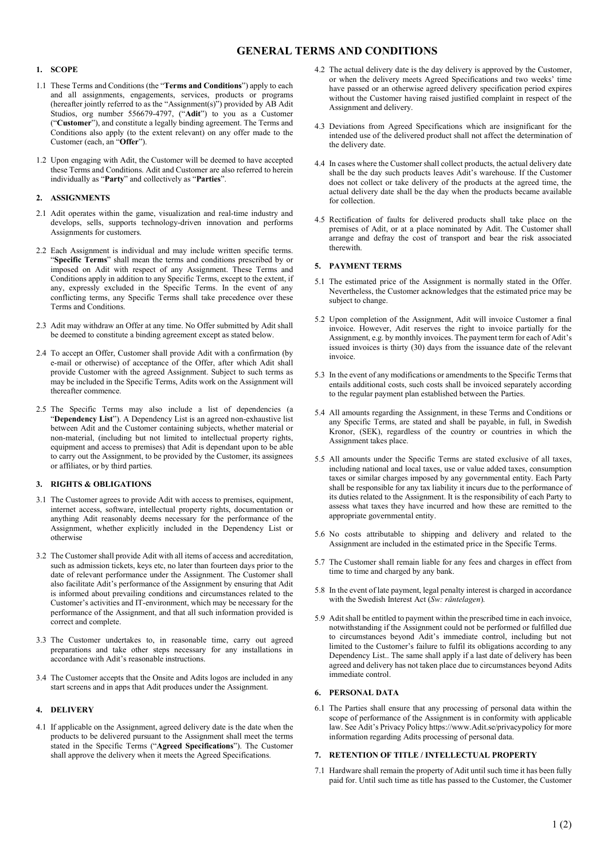# GENERAL TERMS AND CONDITIONS

### 1. SCOPE

- 1.1 These Terms and Conditions (the "Terms and Conditions") apply to each and all assignments, engagements, services, products or programs (hereafter jointly referred to as the "Assignment(s)") provided by AB Adit Studios, org number 556679-4797, ("Adit") to you as a Customer ("Customer"), and constitute a legally binding agreement. The Terms and Conditions also apply (to the extent relevant) on any offer made to the Customer (each, an "Offer").
- 1.2 Upon engaging with Adit, the Customer will be deemed to have accepted these Terms and Conditions. Adit and Customer are also referred to herein individually as "Party" and collectively as "Parties".

# 2. ASSIGNMENTS

- 2.1 Adit operates within the game, visualization and real-time industry and develops, sells, supports technology-driven innovation and performs Assignments for customers.
- 2.2 Each Assignment is individual and may include written specific terms. "Specific Terms" shall mean the terms and conditions prescribed by or imposed on Adit with respect of any Assignment. These Terms and Conditions apply in addition to any Specific Terms, except to the extent, if any, expressly excluded in the Specific Terms. In the event of any conflicting terms, any Specific Terms shall take precedence over these Terms and Conditions.
- 2.3 Adit may withdraw an Offer at any time. No Offer submitted by Adit shall be deemed to constitute a binding agreement except as stated below.
- 2.4 To accept an Offer, Customer shall provide Adit with a confirmation (by e-mail or otherwise) of acceptance of the Offer, after which Adit shall provide Customer with the agreed Assignment. Subject to such terms as may be included in the Specific Terms, Adits work on the Assignment will thereafter commence.
- 2.5 The Specific Terms may also include a list of dependencies (a "Dependency List"). A Dependency List is an agreed non-exhaustive list between Adit and the Customer containing subjects, whether material or non-material, (including but not limited to intellectual property rights, equipment and access to premises) that Adit is dependant upon to be able to carry out the Assignment, to be provided by the Customer, its assignees or affiliates, or by third parties.

# 3. RIGHTS & OBLIGATIONS

- 3.1 The Customer agrees to provide Adit with access to premises, equipment, internet access, software, intellectual property rights, documentation or anything Adit reasonably deems necessary for the performance of the Assignment, whether explicitly included in the Dependency List or otherwise
- 3.2 The Customer shall provide Adit with all items of access and accreditation, such as admission tickets, keys etc, no later than fourteen days prior to the date of relevant performance under the Assignment. The Customer shall also facilitate Adit's performance of the Assignment by ensuring that Adit is informed about prevailing conditions and circumstances related to the Customer's activities and IT-environment, which may be necessary for the performance of the Assignment, and that all such information provided is correct and complete.
- 3.3 The Customer undertakes to, in reasonable time, carry out agreed preparations and take other steps necessary for any installations in accordance with Adit's reasonable instructions.
- 3.4 The Customer accepts that the Onsite and Adits logos are included in any start screens and in apps that Adit produces under the Assignment.

# 4. DELIVERY

4.1 If applicable on the Assignment, agreed delivery date is the date when the products to be delivered pursuant to the Assignment shall meet the terms stated in the Specific Terms ("Agreed Specifications"). The Customer shall approve the delivery when it meets the Agreed Specifications.

- 4.2 The actual delivery date is the day delivery is approved by the Customer, or when the delivery meets Agreed Specifications and two weeks' time have passed or an otherwise agreed delivery specification period expires without the Customer having raised justified complaint in respect of the Assignment and delivery.
- 4.3 Deviations from Agreed Specifications which are insignificant for the intended use of the delivered product shall not affect the determination of the delivery date.
- 4.4 In cases where the Customer shall collect products, the actual delivery date shall be the day such products leaves Adit's warehouse. If the Customer does not collect or take delivery of the products at the agreed time, the actual delivery date shall be the day when the products became available for collection.
- 4.5 Rectification of faults for delivered products shall take place on the premises of Adit, or at a place nominated by Adit. The Customer shall arrange and defray the cost of transport and bear the risk associated therewith.

# 5. PAYMENT TERMS

- 5.1 The estimated price of the Assignment is normally stated in the Offer. Nevertheless, the Customer acknowledges that the estimated price may be subject to change.
- 5.2 Upon completion of the Assignment, Adit will invoice Customer a final invoice. However, Adit reserves the right to invoice partially for the Assignment, e.g. by monthly invoices. The payment term for each of Adit's issued invoices is thirty (30) days from the issuance date of the relevant invoice.
- 5.3 In the event of any modifications or amendments to the Specific Terms that entails additional costs, such costs shall be invoiced separately according to the regular payment plan established between the Parties.
- 5.4 All amounts regarding the Assignment, in these Terms and Conditions or any Specific Terms, are stated and shall be payable, in full, in Swedish Kronor, (SEK), regardless of the country or countries in which the Assignment takes place.
- 5.5 All amounts under the Specific Terms are stated exclusive of all taxes, including national and local taxes, use or value added taxes, consumption taxes or similar charges imposed by any governmental entity. Each Party shall be responsible for any tax liability it incurs due to the performance of its duties related to the Assignment. It is the responsibility of each Party to assess what taxes they have incurred and how these are remitted to the appropriate governmental entity.
- 5.6 No costs attributable to shipping and delivery and related to the Assignment are included in the estimated price in the Specific Terms.
- 5.7 The Customer shall remain liable for any fees and charges in effect from time to time and charged by any bank.
- 5.8 In the event of late payment, legal penalty interest is charged in accordance with the Swedish Interest Act (Sw: räntelagen).
- 5.9 Adit shall be entitled to payment within the prescribed time in each invoice, notwithstanding if the Assignment could not be performed or fulfilled due to circumstances beyond Adit's immediate control, including but not limited to the Customer's failure to fulfil its obligations according to any Dependency List.. The same shall apply if a last date of delivery has been agreed and delivery has not taken place due to circumstances beyond Adits immediate control.

### 6. PERSONAL DATA

6.1 The Parties shall ensure that any processing of personal data within the scope of performance of the Assignment is in conformity with applicable law. See Adit's Privacy Policy https://www.Adit.se/privacypolicy for more information regarding Adits processing of personal data.

# 7. RETENTION OF TITLE / INTELLECTUAL PROPERTY

7.1 Hardware shall remain the property of Adit until such time it has been fully paid for. Until such time as title has passed to the Customer, the Customer